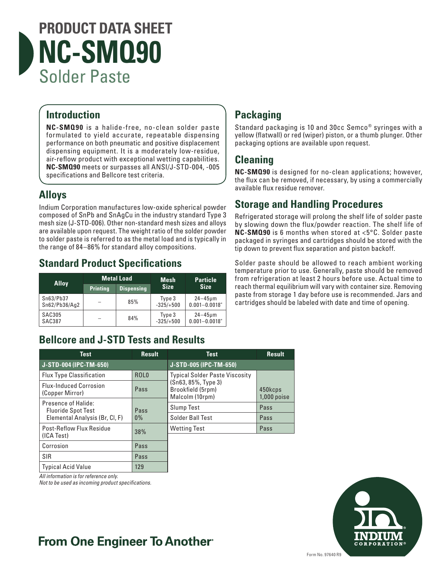

## **Introduction**

**NC-SMQ90** is a halide-free, no-clean solder paste formulated to yield accurate, repeatable dispensing performance on both pneumatic and positive displacement dispensing equipment. It is a moderately low-residue, air-reflow product with exceptional wetting capabilities. **NC-SMQ90** meets or surpasses all ANSI/J-STD-004, -005 specifications and Bellcore test criteria.

# **Alloys**

Indium Corporation manufactures low-oxide spherical powder composed of SnPb and SnAgCu in the industry standard Type 3 mesh size (J-STD-006). Other non-standard mesh sizes and alloys are available upon request. The weight ratio of the solder powder to solder paste is referred to as the metal load and is typically in the range of 84–86% for standard alloy compositions.

## **Standard Product Specifications**

| <b>Alloy</b>                   | <b>Metal Load</b> |                   | <b>Mesh</b>           | <b>Particle</b>                      |  |
|--------------------------------|-------------------|-------------------|-----------------------|--------------------------------------|--|
|                                | <b>Printing</b>   | <b>Dispensing</b> | <b>Size</b>           | <b>Size</b>                          |  |
| Sn63/Pb37<br>Sn62/Pb36/Aq2     |                   | 85%               | Type 3<br>$-325/+500$ | $24 - 45$ µm<br>$0.001 - 0.0018"$    |  |
| <b>SAC305</b><br><b>SAC387</b> |                   | 84%               | Type 3<br>$-325/+500$ | $24 - 45 \mu m$<br>$0.001 - 0.0018"$ |  |

# **Bellcore and J-STD Tests and Results**

| <b>Test</b>                                      | <b>Result</b>                                                       | <b>Test</b>                           | <b>Result</b>            |
|--------------------------------------------------|---------------------------------------------------------------------|---------------------------------------|--------------------------|
| J-STD-004 (IPC-TM-650)                           |                                                                     | J-STD-005 (IPC-TM-650)                |                          |
| <b>Flux Type Classification</b>                  | ROL <sub>0</sub>                                                    | <b>Typical Solder Paste Viscosity</b> |                          |
| <b>Flux-Induced Corrosion</b><br>(Copper Mirror) | (Sn63, 85%, Type 3)<br>Brookfield (5rpm)<br>Pass<br>Malcolm (10rpm) |                                       | 450kcps<br>$1,000$ poise |
| Presence of Halide:<br><b>Fluoride Spot Test</b> | Pass<br>$0\%$                                                       | Slump Test                            | Pass                     |
| Elemental Analysis (Br, Cl, F)                   |                                                                     | Solder Ball Test                      | Pass                     |
| <b>Post-Reflow Flux Residue</b>                  | 38%                                                                 | <b>Wetting Test</b>                   | Pass                     |
| (ICA Test)                                       |                                                                     |                                       |                          |
| Corrosion                                        | Pass                                                                |                                       |                          |

*All information is for reference only.* 

*Not to be used as incoming product specifications.*

SIR Pass Typical Acid Value 129

# **Packaging**

Standard packaging is 10 and 30cc Semco® syringes with a yellow (flatwall) or red (wiper) piston, or a thumb plunger. Other packaging options are available upon request.

## **Cleaning**

**NC-SMQ90** is designed for no-clean applications; however, the flux can be removed, if necessary, by using a commercially available flux residue remover.

## **Storage and Handling Procedures**

Refrigerated storage will prolong the shelf life of solder paste by slowing down the flux/powder reaction. The shelf life of **NC-SMQ90** is 6 months when stored at <5°C. Solder paste packaged in syringes and cartridges should be stored with the tip down to prevent flux separation and piston backoff.

Solder paste should be allowed to reach ambient working temperature prior to use. Generally, paste should be removed from refrigeration at least 2 hours before use. Actual time to reach thermal equilibrium will vary with container size. Removing paste from storage 1 day before use is recommended. Jars and cartridges should be labeled with date and time of opening.



# **From One Engineer To Another**